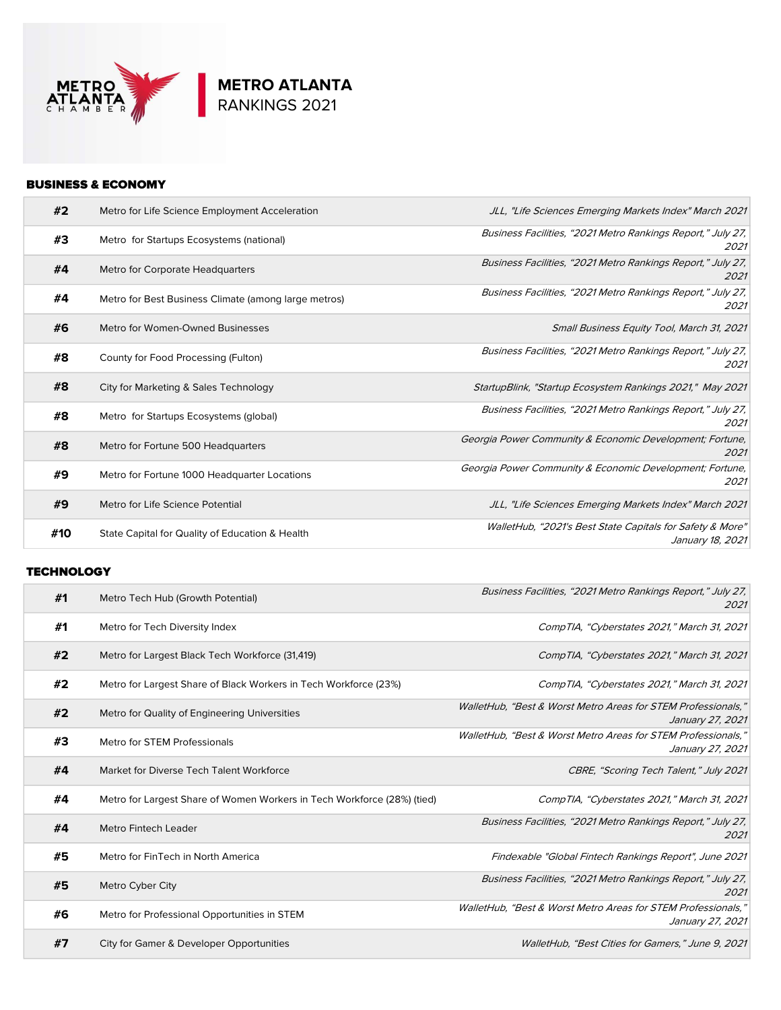

# BUSINESS & ECONOMY

| #2  | Metro for Life Science Employment Acceleration       | JLL, "Life Sciences Emerging Markets Index" March 2021                        |
|-----|------------------------------------------------------|-------------------------------------------------------------------------------|
| #3  | Metro for Startups Ecosystems (national)             | Business Facilities, "2021 Metro Rankings Report," July 27,<br>2021           |
| #4  | Metro for Corporate Headquarters                     | Business Facilities, "2021 Metro Rankings Report," July 27,<br>2021           |
| #4  | Metro for Best Business Climate (among large metros) | Business Facilities, "2021 Metro Rankings Report," July 27,<br>2021           |
| #6  | Metro for Women-Owned Businesses                     | Small Business Equity Tool, March 31, 2021                                    |
| #8  | County for Food Processing (Fulton)                  | Business Facilities, "2021 Metro Rankings Report," July 27,<br>2021           |
| #8  | City for Marketing & Sales Technology                | StartupBlink, "Startup Ecosystem Rankings 2021," May 2021                     |
| #8  | Metro for Startups Ecosystems (global)               | Business Facilities, "2021 Metro Rankings Report," July 27,<br>2021           |
| #8  | Metro for Fortune 500 Headquarters                   | Georgia Power Community & Economic Development; Fortune,<br>2021              |
| #9  | Metro for Fortune 1000 Headquarter Locations         | Georgia Power Community & Economic Development; Fortune,<br>2021              |
| #9  | Metro for Life Science Potential                     | JLL, "Life Sciences Emerging Markets Index" March 2021                        |
| #10 | State Capital for Quality of Education & Health      | WalletHub, "2021's Best State Capitals for Safety & More"<br>January 18, 2021 |

# **TECHNOLOGY**

| #1 | Metro Tech Hub (Growth Potential)                                       | Business Facilities, "2021 Metro Rankings Report," July 27,<br>2021               |
|----|-------------------------------------------------------------------------|-----------------------------------------------------------------------------------|
| #1 | Metro for Tech Diversity Index                                          | CompTIA, "Cyberstates 2021," March 31, 2021                                       |
| #2 | Metro for Largest Black Tech Workforce (31,419)                         | CompTIA, "Cyberstates 2021," March 31, 2021                                       |
| #2 | Metro for Largest Share of Black Workers in Tech Workforce (23%)        | CompTIA, "Cyberstates 2021," March 31, 2021                                       |
| #2 | Metro for Quality of Engineering Universities                           | WalletHub, "Best & Worst Metro Areas for STEM Professionals,"<br>January 27, 2021 |
| #3 | Metro for STEM Professionals                                            | WalletHub, "Best & Worst Metro Areas for STEM Professionals,"<br>January 27, 2021 |
| #4 | Market for Diverse Tech Talent Workforce                                | CBRE, "Scoring Tech Talent," July 2021                                            |
| #4 | Metro for Largest Share of Women Workers in Tech Workforce (28%) (tied) | CompTIA, "Cyberstates 2021," March 31, 2021                                       |
| #4 | <b>Metro Fintech Leader</b>                                             | Business Facilities, "2021 Metro Rankings Report," July 27,<br>2021               |
| #5 | Metro for FinTech in North America                                      | Findexable "Global Fintech Rankings Report", June 2021                            |
| #5 | Metro Cyber City                                                        | Business Facilities, "2021 Metro Rankings Report," July 27,<br>2021               |
| #6 | Metro for Professional Opportunities in STEM                            | WalletHub, "Best & Worst Metro Areas for STEM Professionals,"<br>January 27, 2021 |
| #7 | City for Gamer & Developer Opportunities                                | WalletHub, "Best Cities for Gamers," June 9, 2021                                 |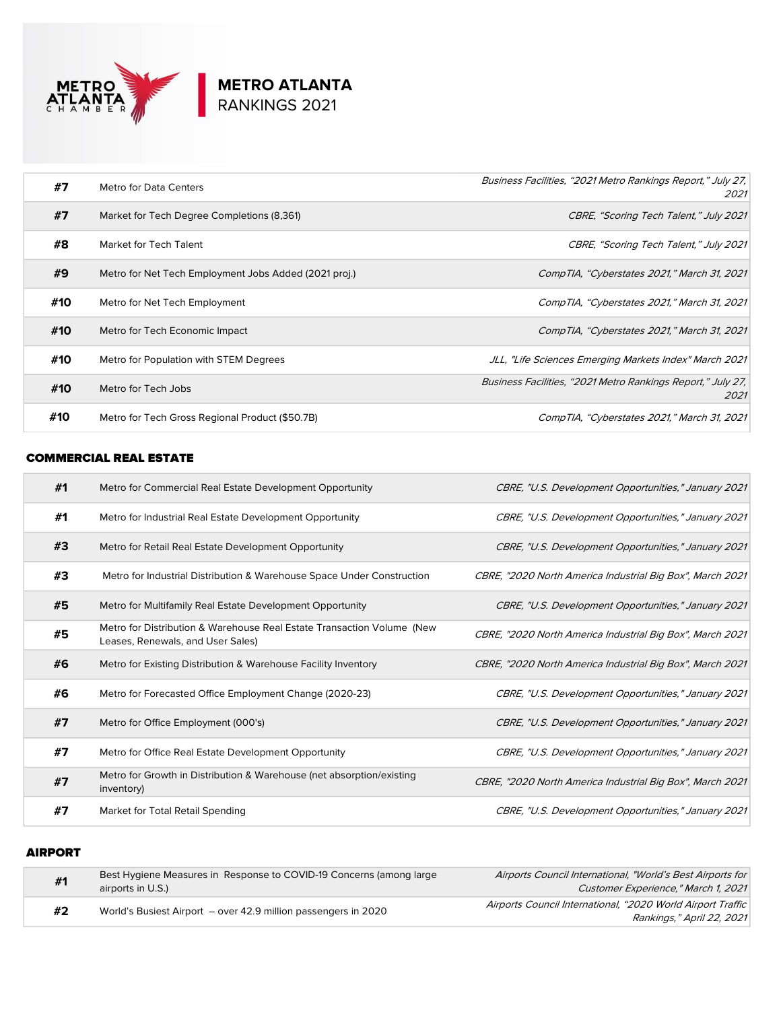

| #7  | Metro for Data Centers                                | Business Facilities, "2021 Metro Rankings Report," July 27,<br>2021 |
|-----|-------------------------------------------------------|---------------------------------------------------------------------|
| #7  | Market for Tech Degree Completions (8,361)            | CBRE, "Scoring Tech Talent," July 2021                              |
| #8  | Market for Tech Talent                                | CBRE, "Scoring Tech Talent," July 2021                              |
| #9  | Metro for Net Tech Employment Jobs Added (2021 proj.) | CompTIA, "Cyberstates 2021," March 31, 2021                         |
| #10 | Metro for Net Tech Employment                         | CompTIA, "Cyberstates 2021," March 31, 2021                         |
| #10 | Metro for Tech Economic Impact                        | CompTIA, "Cyberstates 2021," March 31, 2021                         |
| #10 | Metro for Population with STEM Degrees                | JLL, "Life Sciences Emerging Markets Index" March 2021              |
| #10 | Metro for Tech Jobs                                   | Business Facilities, "2021 Metro Rankings Report," July 27,<br>2021 |
| #10 | Metro for Tech Gross Regional Product (\$50.7B)       | CompTIA, "Cyberstates 2021," March 31, 2021                         |

### COMMERCIAL REAL ESTATE

| #1 | Metro for Commercial Real Estate Development Opportunity                                                    | CBRE, "U.S. Development Opportunities," January 2021      |
|----|-------------------------------------------------------------------------------------------------------------|-----------------------------------------------------------|
| #1 | Metro for Industrial Real Estate Development Opportunity                                                    | CBRE, "U.S. Development Opportunities," January 2021      |
| #3 | Metro for Retail Real Estate Development Opportunity                                                        | CBRE, "U.S. Development Opportunities," January 2021      |
| #3 | Metro for Industrial Distribution & Warehouse Space Under Construction                                      | CBRE, "2020 North America Industrial Big Box", March 2021 |
| #5 | Metro for Multifamily Real Estate Development Opportunity                                                   | CBRE, "U.S. Development Opportunities," January 2021      |
| #5 | Metro for Distribution & Warehouse Real Estate Transaction Volume (New<br>Leases, Renewals, and User Sales) | CBRE, "2020 North America Industrial Big Box", March 2021 |
| #6 | Metro for Existing Distribution & Warehouse Facility Inventory                                              | CBRE, "2020 North America Industrial Big Box", March 2021 |
| #6 | Metro for Forecasted Office Employment Change (2020-23)                                                     | CBRE, "U.S. Development Opportunities," January 2021      |
| #7 | Metro for Office Employment (000's)                                                                         | CBRE, "U.S. Development Opportunities," January 2021      |
| #7 | Metro for Office Real Estate Development Opportunity                                                        | CBRE, "U.S. Development Opportunities," January 2021      |
| #7 | Metro for Growth in Distribution & Warehouse (net absorption/existing<br>inventory)                         | CBRE, "2020 North America Industrial Big Box", March 2021 |
| #7 | Market for Total Retail Spending                                                                            | CBRE, "U.S. Development Opportunities," January 2021      |

## AIRPORT

| #1 | Best Hygiene Measures in Response to COVID-19 Concerns (among large<br>airports in U.S.) | Airports Council International, "World's Best Airports for<br>Customer Experience." March 1. 2021 |
|----|------------------------------------------------------------------------------------------|---------------------------------------------------------------------------------------------------|
| #2 | World's Busiest Airport - over 42.9 million passengers in 2020                           | Airports Council International, "2020 World Airport Traffic                                       |
|    |                                                                                          | Rankings," April 22, 2021                                                                         |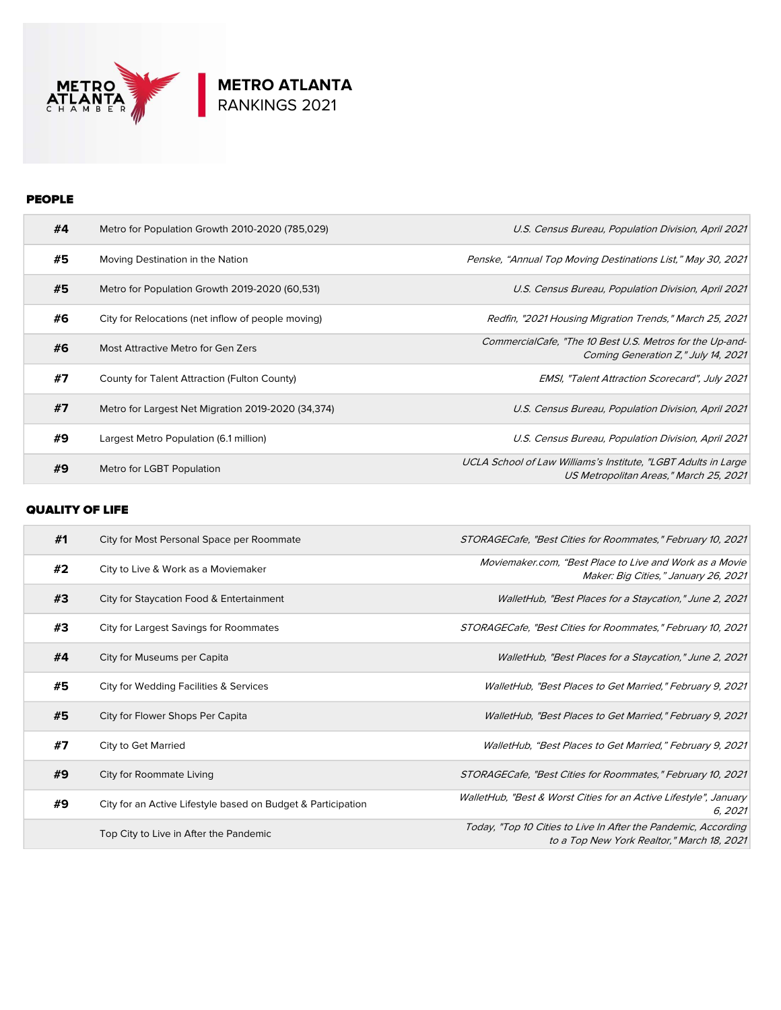

## PEOPLE

| #4 | Metro for Population Growth 2010-2020 (785,029)    | U.S. Census Bureau, Population Division, April 2021                                                      |
|----|----------------------------------------------------|----------------------------------------------------------------------------------------------------------|
| #5 | Moving Destination in the Nation                   | Penske, "Annual Top Moving Destinations List," May 30, 2021                                              |
| #5 | Metro for Population Growth 2019-2020 (60,531)     | U.S. Census Bureau, Population Division, April 2021                                                      |
| #6 | City for Relocations (net inflow of people moving) | Redfin, "2021 Housing Migration Trends," March 25, 2021                                                  |
| #6 | Most Attractive Metro for Gen Zers                 | CommercialCafe, "The 10 Best U.S. Metros for the Up-and-<br>Coming Generation Z." July 14, 2021          |
| #7 | County for Talent Attraction (Fulton County)       | <b>EMSI, "Talent Attraction Scorecard", July 2021</b>                                                    |
| #7 | Metro for Largest Net Migration 2019-2020 (34,374) | U.S. Census Bureau, Population Division, April 2021                                                      |
| #9 | Largest Metro Population (6.1 million)             | U.S. Census Bureau, Population Division, April 2021                                                      |
| #9 | Metro for LGBT Population                          | UCLA School of Law Williams's Institute, "LGBT Adults in Large<br>US Metropolitan Areas," March 25, 2021 |

### QUALITY OF LIFE

| #1 | City for Most Personal Space per Roommate                    | STORAGECafe, "Best Cities for Roommates," February 10, 2021                                                  |
|----|--------------------------------------------------------------|--------------------------------------------------------------------------------------------------------------|
| #2 | City to Live & Work as a Moviemaker                          | Moviemaker.com. "Best Place to Live and Work as a Movie<br>Maker: Big Cities," January 26, 2021              |
| #3 | City for Staycation Food & Entertainment                     | WalletHub, "Best Places for a Staycation," June 2, 2021                                                      |
| #3 | City for Largest Savings for Roommates                       | STORAGECafe, "Best Cities for Roommates," February 10, 2021                                                  |
| #4 | City for Museums per Capita                                  | WalletHub, "Best Places for a Staycation," June 2, 2021                                                      |
| #5 | City for Wedding Facilities & Services                       | WalletHub, "Best Places to Get Married," February 9, 2021                                                    |
| #5 | City for Flower Shops Per Capita                             | WalletHub, "Best Places to Get Married," February 9, 2021                                                    |
| #7 | City to Get Married                                          | WalletHub, "Best Places to Get Married," February 9, 2021                                                    |
| #9 | City for Roommate Living                                     | STORAGECafe, "Best Cities for Roommates," February 10, 2021                                                  |
| #9 | City for an Active Lifestyle based on Budget & Participation | WalletHub, "Best & Worst Cities for an Active Lifestyle", January<br>6, 2021                                 |
|    | Top City to Live in After the Pandemic                       | Today, "Top 10 Cities to Live In After the Pandemic, According<br>to a Top New York Realtor," March 18, 2021 |